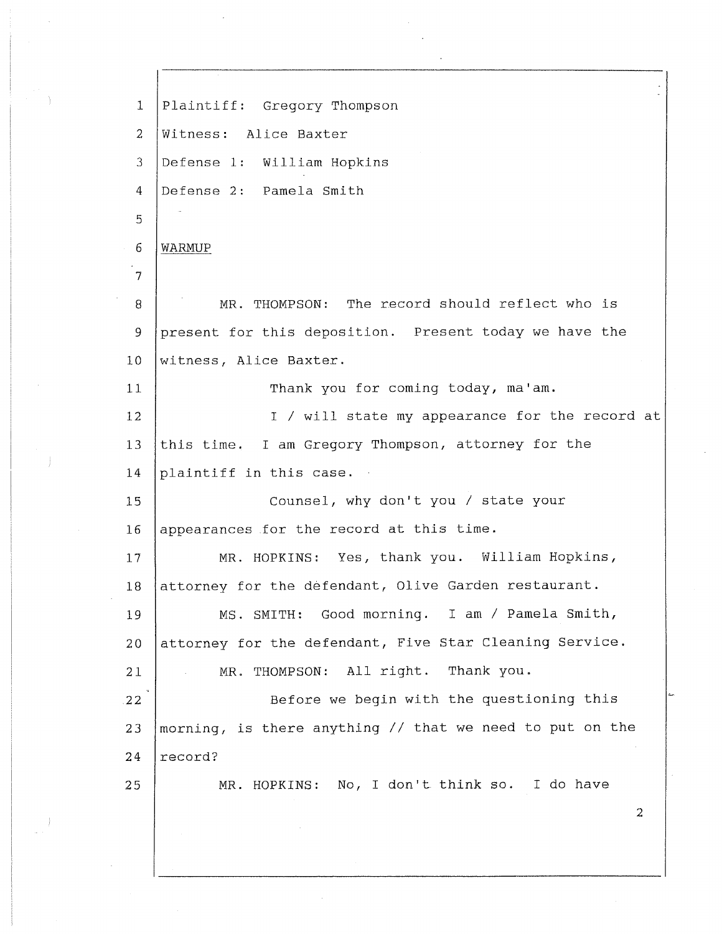1 2 3 4 5 6 7 8 9 10 11 12 13 14 15 16 17 18 19 20 21 22 23 24 25 Plaintiff: Gregory Thompson Witness: Alice Baxter Defense 1: William Hopkins Defense 2: Pamela Smith WARMUP MR. THOMPSON: The record should reflect who is present for this deposition. Present today we have the witness, Alice Baxter. Thank you for coming today, ma'am. I/ will state my appearance for the record at this time. I am Gregory Thompson, attorney for the plaintiff in this case. Counsel, why don't you/ state your appearances for the record at this time. MR. HOPKINS: Yes, thank you. William Hopkins, attorney for the defendant, Olive Garden restaurant. MS. SMITH: Good morning. I am/ Pamela Smith, attorney for the defendant, Five Star Cleaning Service. MR. THOMPSON: All right. Thank you. Before we begin with the questioning this morning, is there anything// that we need to put on the record? MR. HOPKINS: No, I don't think so. I do have 2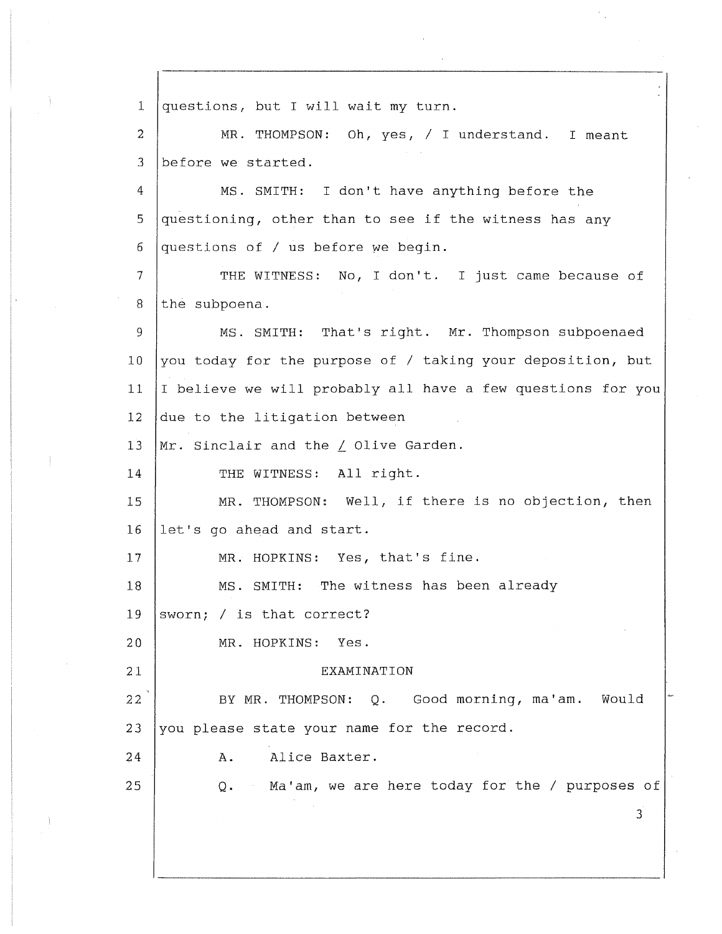1 2 3 4 5 6 7 8 9 10 11 12 13 14 15 16 17 18 19 20 21 22 23 24 25 questions, but I will wait my turn. MR. THOMPSON: Oh, yes, / I understand. I meant before we started. MS. SMITH: I don't have anything before the questioning, other than to see if the witness has any questions of  $/$  us before we begin. THE WITNESS: No, I don't. I just came because of the subpoena. MS. SMITH: That's right. Mr. Thompson subpoenaed you today for the purpose of / taking your deposition, but I believe we will probably all have a few questions for you due to the litigation between Mr. Sinclair and the  $\angle$  Olive Garden. THE WITNESS: All right. MR. THOMPSON: Well, if there is no objection, then let's go ahead and start. MR. HOPKINS: Yes, that's fine. MS. SMITH: The witness has been already sworn; / is that correct? MR. HOPKINS: Yes. EXAMINATION BY MR. THOMPSON: Q. Good morning, ma'am. Would you please state your name for the record. A. Alice Baxter. Q. Ma'am, we are here today for the/ purposes of 3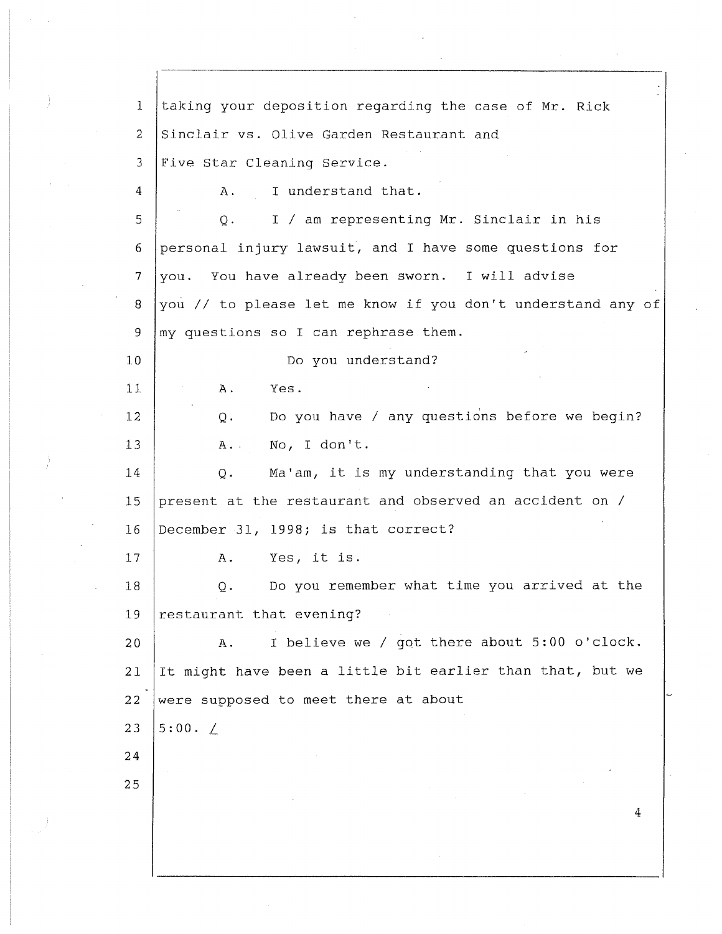1 2 3 4 5 6 7 8 9 10 11 12 13 14 15 16 17 18 19 **20**  21 **22**  23 **24 25**  taking your deposition regarding the case of Mr. Rick Sinclair vs. Olive Garden Restaurant and Five Star Cleaning Service. A. I understand that. Q. I/ am representing Mr. Sinclair in his personal injury lawsuit, and I have some questions for you. You have already been sworn. I will advise you // to please let me know if you don't understand any of my questions so I can rephrase them. Do you understand? A. Yes. Q. Do you have *I* any questions before we begin? A. No, I don't. Q. Ma'am, it is my understanding that you were present at the restaurant and observed an accident on/ December 31, 1998; is that correct? A. Yes, it is. Q. Do you remember what time you arrived at the restaurant that evening? A. I believe we/ got there about 5:00 o'clock. It might have been a little bit earlier than that, but we were supposed to meet there at about  $5:00. /$ 4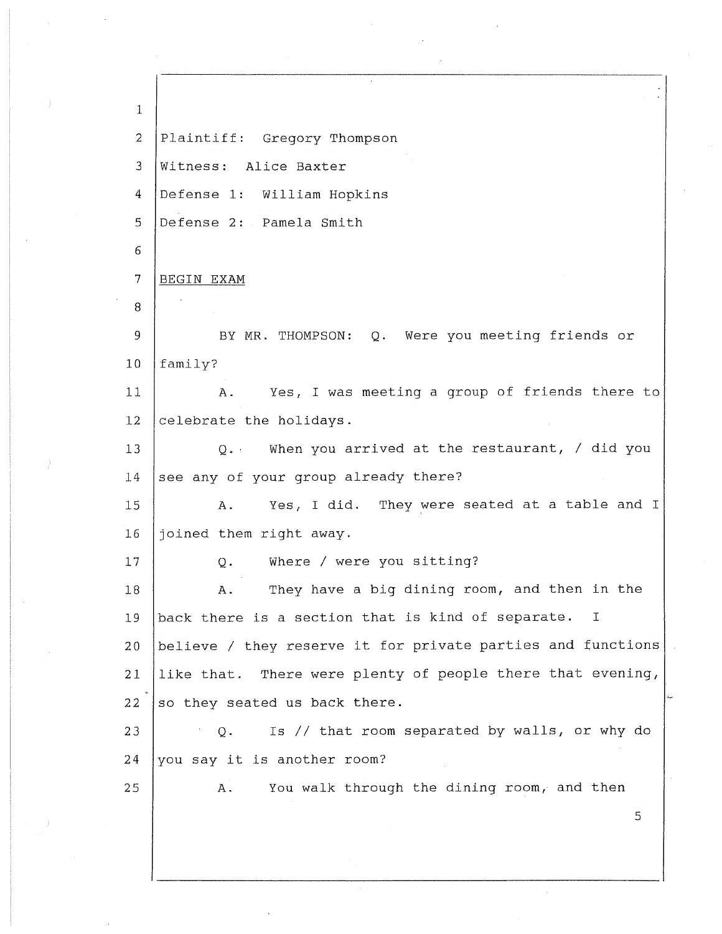1 2 3 4 5 6 7 8 9 10 11 12 13 14 15 16 17 18 19 20 21 22 23 24 25 Plaintiff: Gregory Thompson Witness: Alice Baxter Defense 1: William Hopkins Defense 2: Pamela Smith BEGIN EXAM BY MR. THOMPSON: Q. Were you meeting friends or family? A. Yes, I was meeting a group of friends there to celebrate the holidays. Q. When you arrived at the restaurant, / did you see any of your group already there? A. Yes, I did. They were seated at a table and I joined them right away. Q. Where/ were you sitting? A. They have a big dining room, and then in the back there is a section that is kind of separate. I believe / they reserve it for private parties and functions like that. There were plenty of people there that evening, so they seated us back there. Q. Is// that room separated by walls, or why do you say it is another room? A. You walk through the dining room, and then 5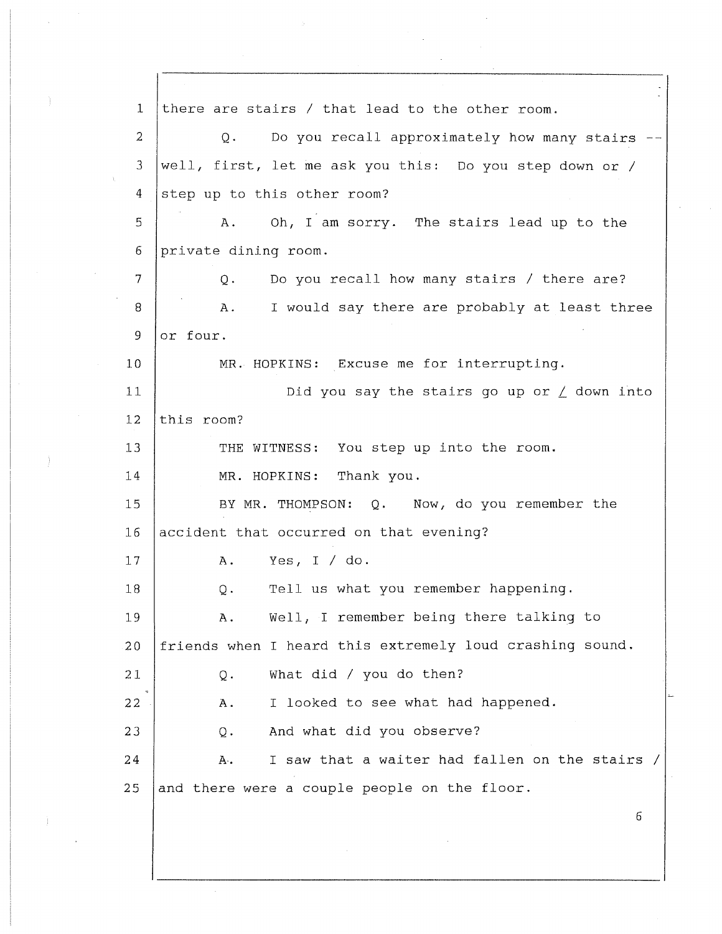1 2 3 4 5 6 7 8 9 10 11 12 13 14 15 16 17 18 19 20 21 22 23 24 25 there are stairs / that lead to the other room. Q. Do you recall approximately how many stairs -well, first, let me ask you this: Do you step down or / step up to this other room? A. Oh, I am sorry. The stairs lead up to the private dining room. Q. Do you recall how many stairs/ there are? A. I would say there are probably at least three or four. MR. HOPKINS: Excuse me for interrupting. Did you say the stairs go up or  $\angle$  down into this room? THE WITNESS: You step up into the room. MR. HOPKINS: Thank you. BY MR. THOMPSON: Q. Now, do you remember the accident that occurred on that evening? A. Yes, I/ do. Q. Tell us what you remember happening. A. Well, I remember being there talking to friends when I heard this extremely loud crashing sound. Q. What did/ you do then? A. I looked to see what had happened. Q. And what did you observe? A. I saw that a waiter had fallen on the stairs / and there were a couple people on the floor. 6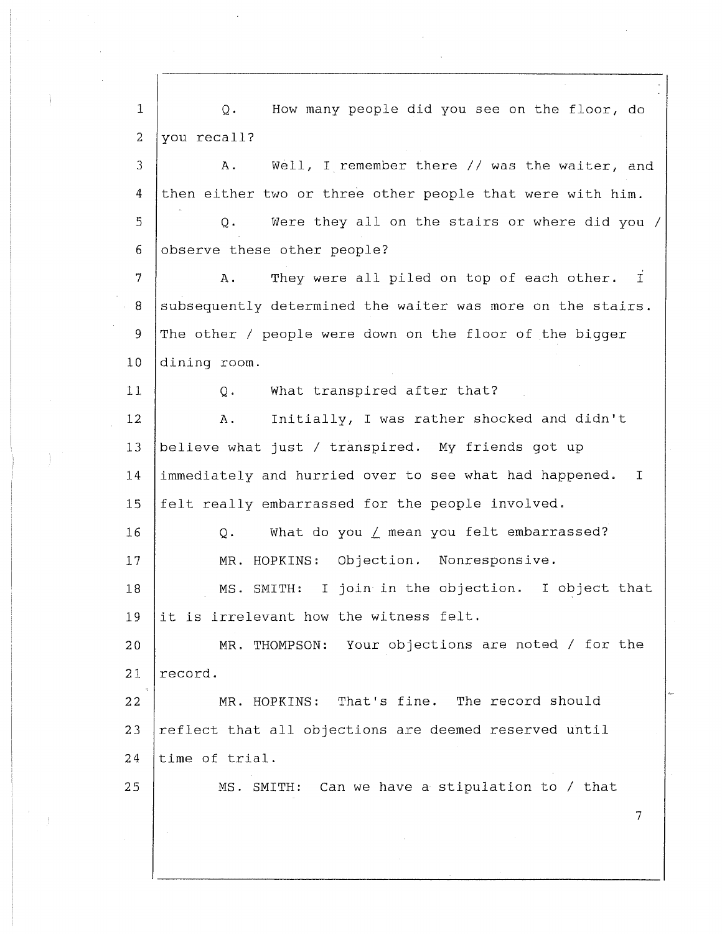1 2 3 4 5 6 7 8 9 10 11 12 13 14 15 16 17 18 19 20 21 **22**  23 24 25 Q. How many people did you see on the floor, do you recall? A. Well, I remember there// was the waiter, and then either two or three other people that were with him. Q. Were they all on the stairs or where did you / observe these other people? A. They were all piled on top of each other. I subsequently determined the waiter was more on the stairs. The other / people were down on the floor of the bigger dining room. Q. What transpired after that? A. Initially, I was rather shocked and didn't believe what just/ transpired. My friends got up immediately and hurried over to see what had happened. I felt really embarrassed for the people involved. Q. What do you *L* mean you felt embarrassed? MR. HOPKINS: Objection. Nonresponsive. MS. SMITH: I join in the objection. I object that it is irrelevant how the witness felt. MR. THOMPSON: Your objections are noted/ for the record. MR. HOPKINS: That's fine. The record should reflect that all objections are deemed reserved until time of trial. MS. SMITH: Can we have a stipulation to / that 7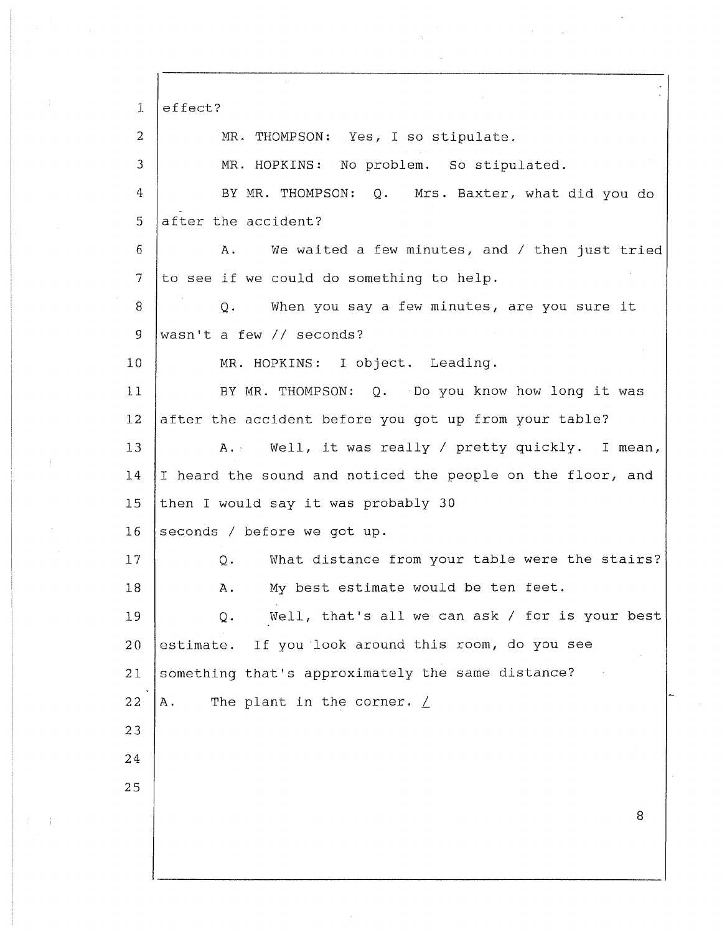1 2 3 4 5 6 7 8 9 10 11 12 13 14 15 16 17 18 19 20 21 22 23 24 25 effect? MR. THOMPSON: Yes, I so stipulate. MR. HOPKINS: No problem. So stipulated. BY MR. THOMPSON: Q. Mrs. Baxter, what did you do after the accident? A. We waited a few minutes, and/ then just tried to see if we could do something to help. Q. When you say a few minutes, are you sure it wasn't a few// seconds? MR. HOPKINS: I object. Leading. BY MR. THOMPSON: Q. Do you know how long it was after the accident before you got up from your table? A. Well, it was really / pretty quickly. I mean, I heard the sound and noticed the people on the floor, and then I would say it was probably 30 seconds/ before we got up. Q. What distance from your table were the stairs? A. My best estimate would be ten feet. Q. Well, that's all we can ask/ for is your best estimate. If you look around this room, do you see something that's approximately the same distance? A. The plant in the corner.  $\angle$ 8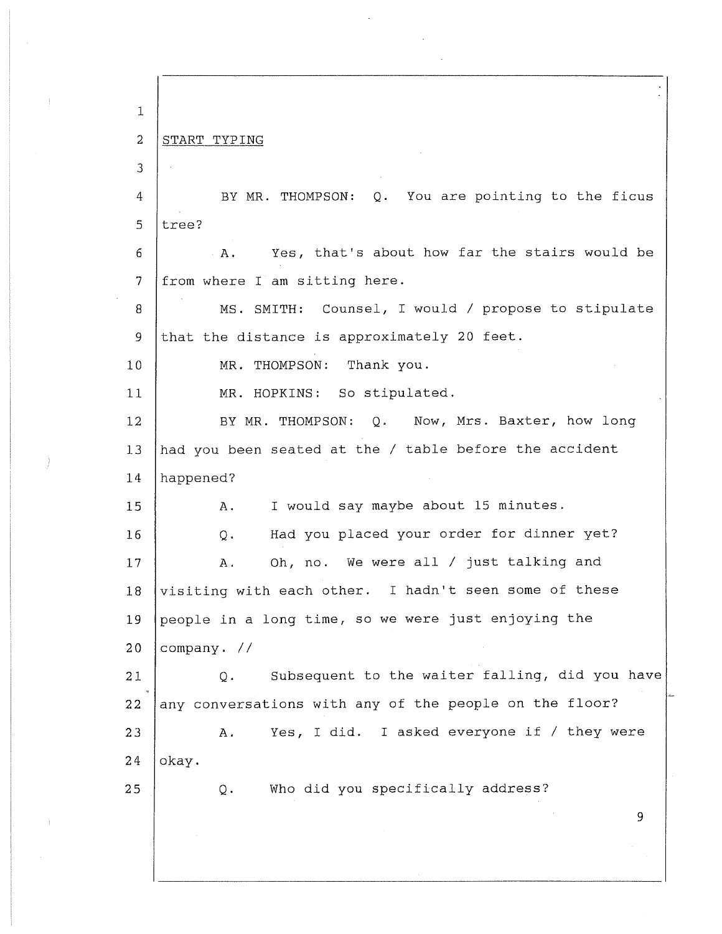1 2 3 4 5 6 7 8 9 10 11 12 13 14 15 16 17 18 19 20 21 22 23 24 25 START TYPING BY MR. THOMPSON: Q. You are pointing to the ficus tree? A. Yes, that's about how far the stairs would be from where I am sitting here. MS. SMITH: Counsel, I would / propose to stipulate that the distance is approximately 20 feet. MR. THOMPSON: Thank you. MR. HOPKINS: So stipulated. BY MR. THOMPSON: Q. Now, Mrs. Baxter, how long had you been seated at the *I* table before the accident happened? A. I would say maybe about 15 minutes. Q. Had you placed your order for dinner yet? A. Oh, no. We were all *I* just talking and visiting with each other. I hadn't seen some of these people in a long time, so we were just enjoying the company. // Q. Subsequent to the waiter falling, did you have any conversations with any of the people on the floor? A. Yes, I did. I asked everyone if *I* they were okay. Q. Who did you specifically address? 9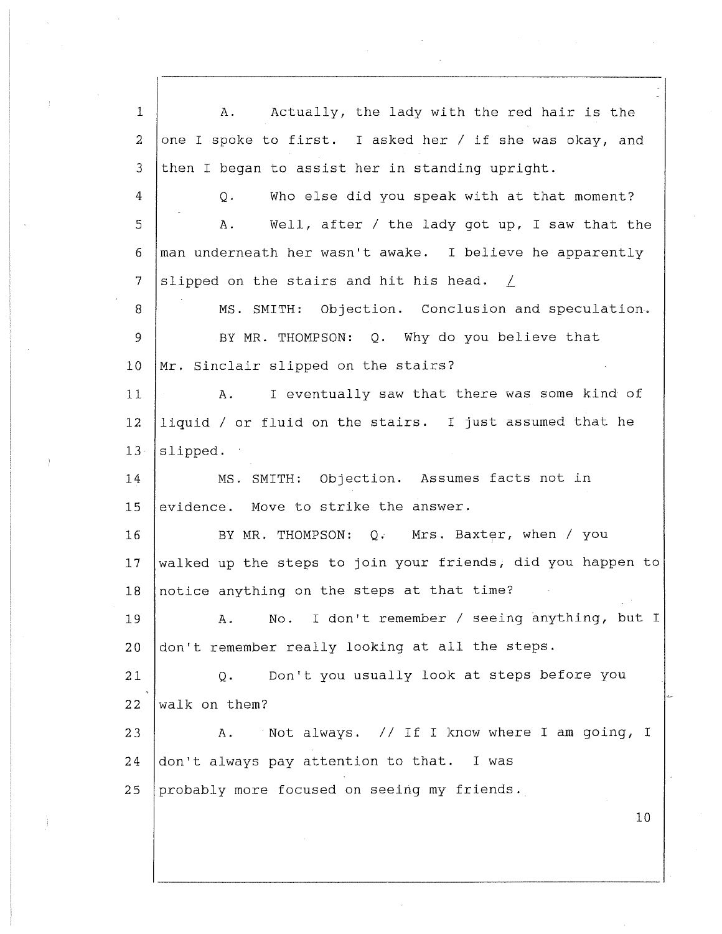1 2 3 4 5 6 7 8 9 10 11 12 13 14 15 16 17 18 19 **20**  21 22 23 24 25 A. Actually, the lady with the red hair is the one I spoke to first. I asked her/ if she was okay, and then I began to assist her in standing upright. Q. Who else did you speak with at that moment? A. Well, after/ the lady got up, I saw that the man underneath her wasn't awake. I believe he apparently slipped on the stairs and hit his head. *L*  MS. SMITH: Objection. Conclusion and speculation. BY MR. THOMPSON: Q. Why do you believe that Mr. Sinclair slipped on the stairs? A. I eventually saw that there was some kind of liquid/ or fluid on the stairs. I just assumed that he slipped. MS. SMITH: Objection. Assumes facts not in evidence. Move to strike the answer. BY MR. THOMPSON: Q. Mrs. Baxter, when/ you walked up the steps to join your friends, did you happen to notice anything on the steps at that time? A. No. I don't remember/ seeing anything, but I don't remember really looking at all the steps. Q. Don't you usually look at steps before you walk on them? A. Not always. // If I know where I am going, I don't always pay attention to that. I was probably more focused on seeing my friends. 10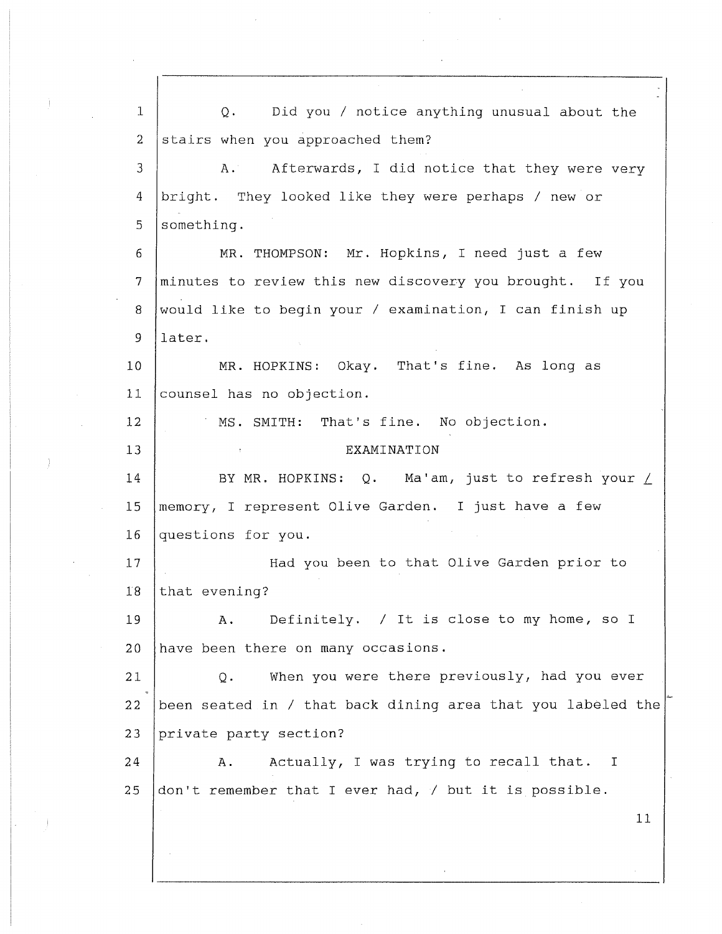1 2 3 4 5 6 7 8 9 10 11 12 13 14 15 16 17 18 19 20 21 22 23 24 25 Q. Did you/ notice anything unusual about the stairs when you approached them? A. Afterwards, I did notice that they were very bright. They looked like they were perhaps/ new or something. MR. THOMPSON: Mr. Hopkins, I need just a few minutes to review this new discovery you brought. If you would like to begin your/ examination, I can finish up later. MR. HOPKINS: Okay. That's fine. As long as counsel has no objection. MS. SMITH: That's fine. No objection. EXAMINATION BY MR. HOPKINS: Q. Ma'am, just to refresh your / memory, I represent Olive Garden. I just have a few questions for you. Had you been to that Olive Garden prior to that evening? A. Definitely. / It is close to my home, so I have been there on many occasions. Q. When you were there previously, had you ever been seated in/ that back dining area that you labeled the private party section? A. Actually, I was trying to recall that. I don't remember that I ever had, / but it is possible. 11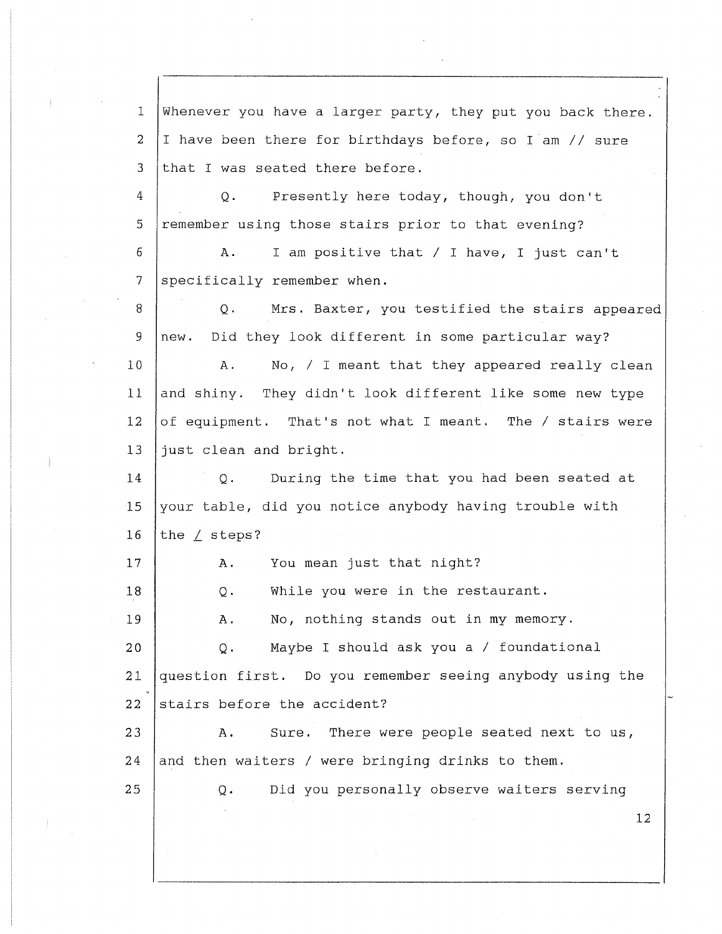1 2 3 4 5 6 7 8 9 10 11 12 13 14 15 16 17 18 19 20 21 22 23 24 25 Whenever you have a larger party, they put you back there. I have been there for birthdays before, so I am// sure that I was seated there before. Q. Presently here today, though, you don't remember using those stairs prior to that evening? A. I am positive that/ I have, I just can't specifically remember when. Q. Mrs. Baxter, you testified the stairs appeared new. Did they look different in some particular way? A. No, / I meant that they appeared really clean and shiny. They didn't look different like some new type of equipment. That's not what I meant. The/ stairs were just clean and bright. Q. During the time that you had been seated at your table, did you notice anybody having trouble with the / steps? A. You mean just that night? Q. While you were in the restaurant. A. No, nothing stands out in my memory. Q. Maybe I should ask you a/ foundational question first. Do you remember seeing anybody using the stairs before the accident? A. Sure. There were people seated next to us, and then waiters/ were bringing drinks to them. Q. Did you personally observe waiters serving 12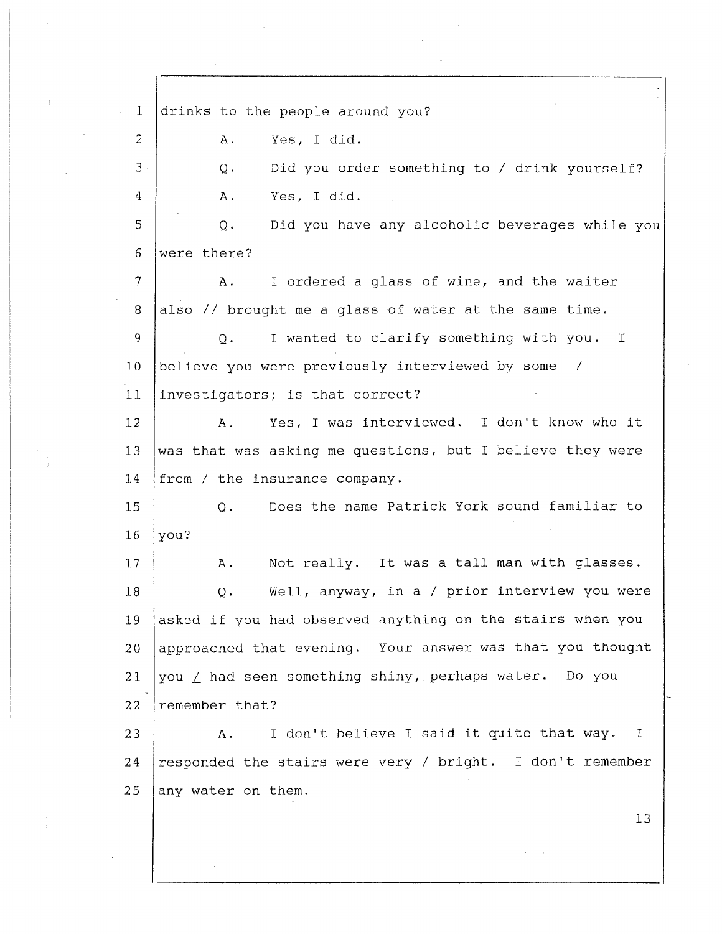1 2 3 4 5 6 7 8 9 10 11 12 13 14 15 16 17 18 19 20 21 22 23 24 25 drinks to the people around you? A. Yes, I did. Q. Did you order something to / drink yourself? A. Yes, I did. Q. Did you have any alcoholic beverages while you were there? A. I ordered a glass of wine, and the waiter also// brought me a glass of water at the same time. Q. I wanted to clarify something with you. I believe you were previously interviewed by some / investigators; is that correct? A. Yes, I was interviewed. I don't know who it was that was asking me questions, but I believe they were from/ the insurance company. Q. Does the name Patrick York sound familiar to you? A. Not really. It was a tall man with glasses. Q. Well, anyway, in a *I* prior interview you were asked if you had observed anything on the stairs when you approached that evening. Your answer was that you thought you *L* had seen something shiny, perhaps water. Do you remember that? A. I don't believe I said it quite that way. responded the stairs were very/ bright. I don't remember any water on them. I 13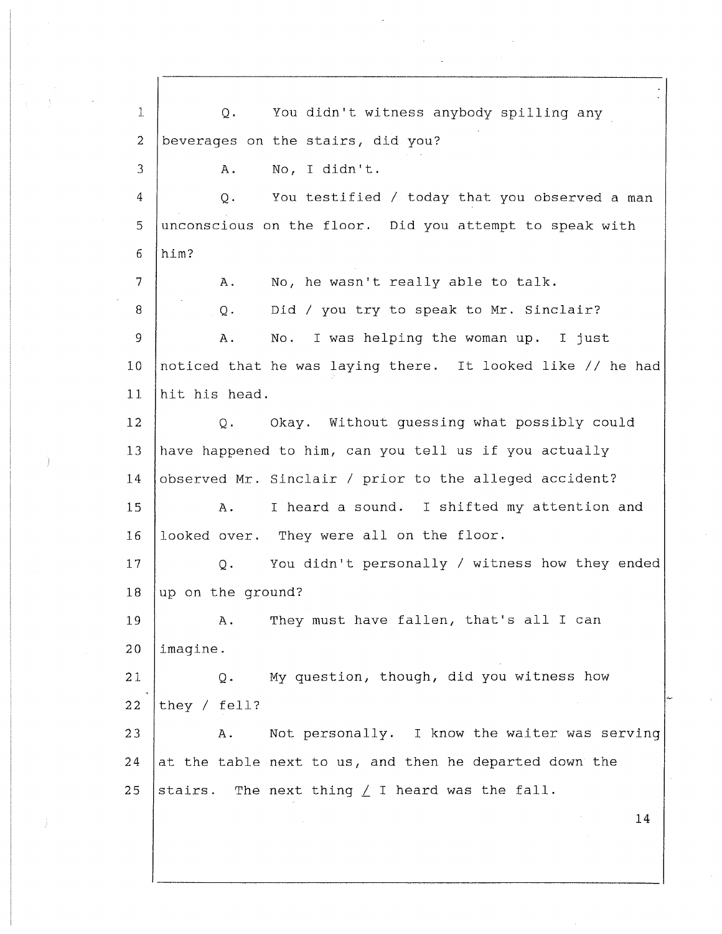5 10 15 20 25 1 2 3 4 6 7 8 9 1 J. 12 13 14 16 17 18 19 21 22 23 24 Q. You didn't witness anybody spilling any beverages on the stairs, did you? A. No, I didn't. Q. You testified *I* today that you observed a man unconscious on the floor. Did you attempt to speak with him? A. No, he wasn't really able to talk. Q. Did / you try to speak to Mr. Sinclair? A. No. I was helping the woman up. I just noticed that he was laying there. It looked like // he had hit his head. Q. Okay. Without guessing what possibly could have happened to him, can you tell us if you actually observed Mr. Sinclair/ prior to the alleged accident? A. I heard a sound. I shifted my attention and looked over. They were all on the floor. Q. You didn't personally *I* witness how they ended up on the ground? A. They must have fallen, that's all I can imagine. Q. My question, though, did you witness how they / fell? A. Not personally. I know the waiter was serving at the table next to us, and then he departed down the stairs. The next thing  $\angle$  I heard was the fall. 14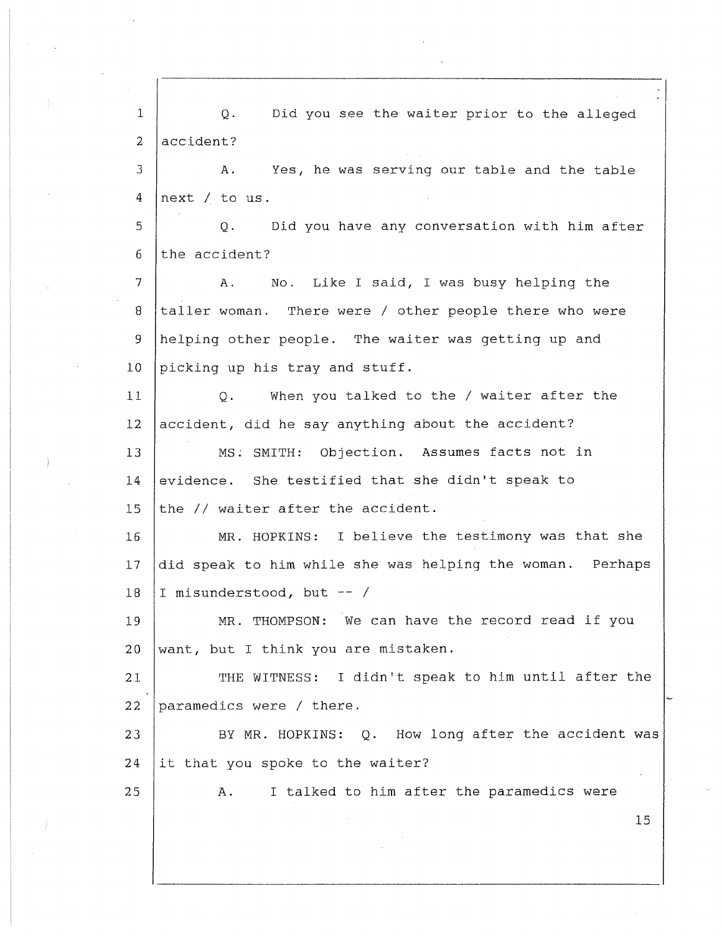| $\mathbf{1}$   | Q.<br>Did you see the waiter prior to the alleged         |
|----------------|-----------------------------------------------------------|
| $\overline{a}$ | accident?                                                 |
| 3              | Α.<br>Yes, he was serving our table and the table         |
| 4              | next / to us.                                             |
| 5              | Did you have any conversation with him after<br>Q.        |
| 6              | the accident?                                             |
| 7              | No. Like I said, I was busy helping the<br>Α.             |
| 8              | taller woman. There were / other people there who were    |
| 9              | helping other people. The waiter was getting up and       |
| 10             | picking up his tray and stuff.                            |
| 11             | When you talked to the / waiter after the<br>$Q$ .        |
| 12             | accident, did he say anything about the accident?         |
| 13             | MS. SMITH: Objection. Assumes facts not in                |
| 14             | evidence. She testified that she didn't speak to          |
| 15             | the // waiter after the accident.                         |
| 16             | MR. HOPKINS: I believe the testimony was that she         |
| 17             | did speak to him while she was helping the woman. Perhaps |
| 18             | I misunderstood, but -- /                                 |
| 19             | MR. THOMPSON: We can have the record read if you          |
| 20             | want, but I think you are mistaken.                       |
| 21             | THE WITNESS: I didn't speak to him until after the        |
| 22             | paramedics were / there.                                  |
| 23             | BY MR. HOPKINS: Q. How long after the accident was        |
| 24             | it that you spoke to the waiter?                          |
| 25             | I talked to him after the paramedics were<br>Α.           |
|                | 15                                                        |
|                |                                                           |

 $\mathcal{A}^{\pm}$ 

 $\label{eq:2} \mathcal{L}_{\text{eff}} = \frac{1}{2} \sum_{i=1}^{N} \frac{1}{2} \sum_{i=1}^{N} \frac{1}{2} \sum_{i=1}^{N} \frac{1}{2} \sum_{i=1}^{N} \frac{1}{2} \sum_{i=1}^{N} \frac{1}{2} \sum_{i=1}^{N} \frac{1}{2} \sum_{i=1}^{N} \frac{1}{2} \sum_{i=1}^{N} \frac{1}{2} \sum_{i=1}^{N} \frac{1}{2} \sum_{i=1}^{N} \frac{1}{2} \sum_{i=1}^{N} \frac{1}{2} \sum_{i=1}$ 

 $\mathcal{L}^{\text{max}}_{\text{max}}$ 

 $\label{eq:2.1} \mathcal{F}^{\text{max}}_{\text{max}}(\mathbf{y},\mathbf{y}) = \mathcal{F}^{\text{max}}_{\text{max}}(\mathbf{y},\mathbf{y})$ 

 $\mathcal{L}(\mathcal{A})$  and  $\mathcal{L}(\mathcal{A})$  .

 $\langle\sigma_{\rm{eff}}\rangle$ 

 $\rightarrow$ 

 $\frac{1}{2}$ 

 $\mathcal{A}^{\mathcal{A}}$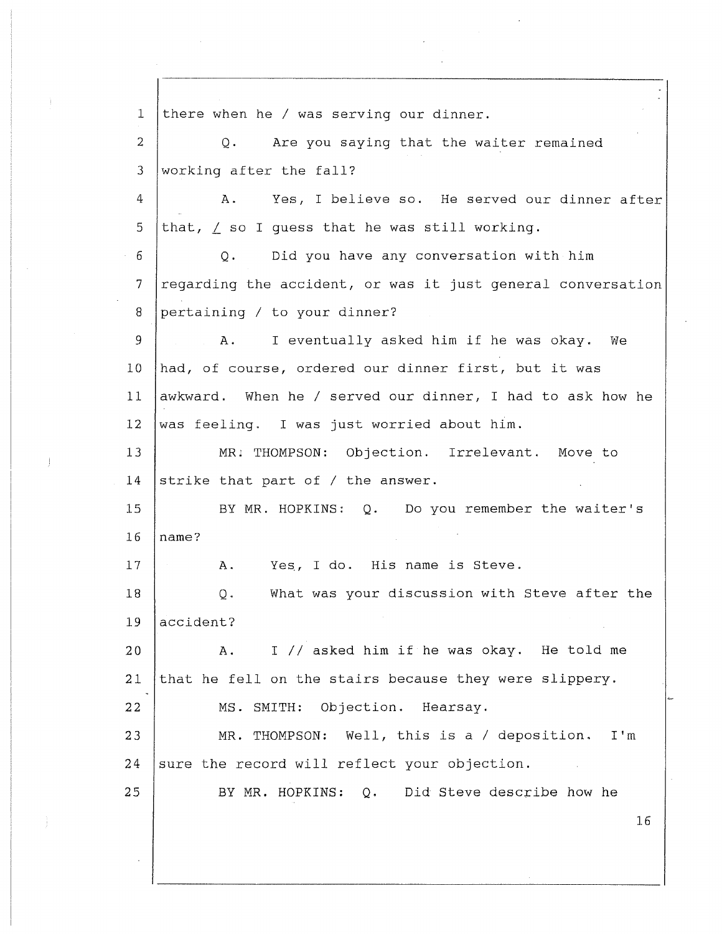1 2 3 4 5 6 7 8 9 10 11 12 13 14 15 16 17 18 19 20 21 **22**  23 24 25 there when he/ was serving our dinner. Q. Are you saying that the waiter remained working after the fall? A. Yes, I believe so. He served our dinner after that, / so I quess that he was still working. Q. Did you have any conversation with him regarding the accident, or was it just general conversation pertaining/ to your dinner? A. I eventually asked him if he was okay. We had, of course, ordered our dinner first, but it was awkward. When he/ served our dinner, I had to ask how he was feeling. I was just worried about him. MR; THOMPSON: Objection. Irrelevant. Move to strike that part of / the answer. BY MR. HOPKINS: Q. Do you remember the waiter's name? **A.** Yes, I do. His name is Steve. Q. What was your discussion with Steve after the accident? **A.** I// asked him if he was okay. He told me that he fell on the stairs because they were slippery. MS. SMITH: Objection. Hearsay. MR. THOMPSON: Well, this is a/ deposition. I'm sure the record will reflect your objection. BY MR. HOPKINS: Q. Did Steve describe how he 16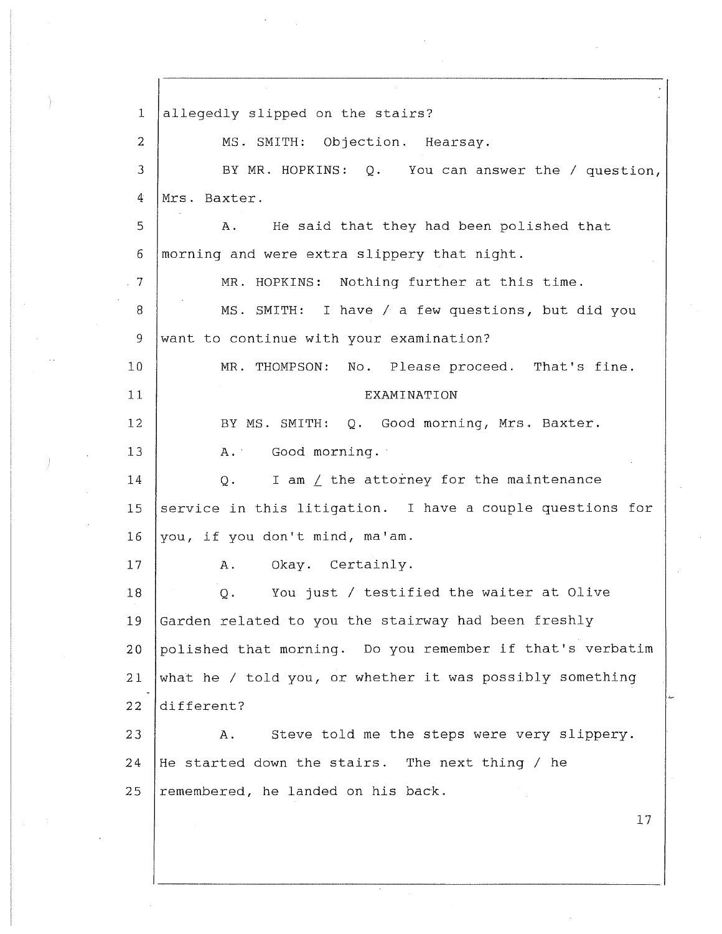1 2 3 4 5 6 7 8 9 10 11 12 13 14 15 16 17 18 19 20 21 22 23 24 25 allegedly slipped on the stairs? MS. SMITH: Objection. Hearsay. BY MR. HOPKINS: Q. You can answer the/ question, Mrs. Baxter. A. He said that they had been polished that morning and were extra slippery that night. MR. HOPKINS: Nothing further at this time. MS. SMITH: I have/ a few questions, but did you want to continue with your examination? MR. THOMPSON: No. Please proceed. That's fine. EXAMINATION BY MS. SMITH: Q. Good morning, Mrs. Baxter. A. Good morning. Q. I am / the attorney for the maintenance service in this litigation. I have a couple questions for you, if you don't mind, ma'am. A. Okay. Certainly. Q. You just/ testified the waiter at Olive Garden related to you the stairway had been freshly polished that morning. Do you remember if that's verbatim what he / told you, or whether it was possibly something different? A. Steve told me the steps were very slippery. He started down the stairs. The next thing/ he remembered, he landed on his back. 17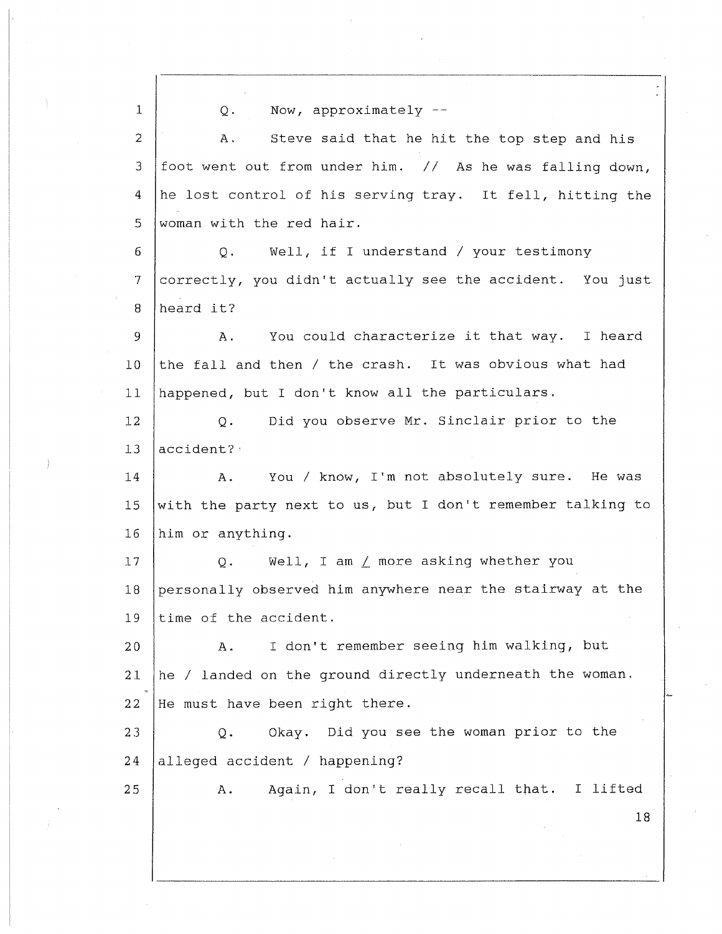1 2 3 4 5 6 7 8 9 10 11 12 13 14 15 16 17 18 19 20 21 22 23 24 25 Q. Now, approximately A. Steve said that he hit the top step and his foot went out from under him. // As he was falling down, he lost control of his serving tray. It fell, hitting the woman with the red hair. Q. Well, if I understand/ your testimony correctly, you didn't actually see the accident. You just heard it? A. You could characterize it that way. I heard the fall and then/ the crash. It was obvious what had happened, but I don't know all the particulars. Q. Did you observe Mr. Sinclair prior to the accident?· A. You/ know, I'm not absolutely sure. He was with the party next to us, but I don't remember talking to him or anything. Q. Well, I am *L* more asking whether you personally observed him anywhere near the stairway at the time of the accident. A. I don't remember seeing him walking, but he *I* landed on the ground directly underneath the woman. He must have been right there. Q. Okay. Did you see the woman prior to the alleged accident / happening? A. Again, I don't really recall that. I lifted 18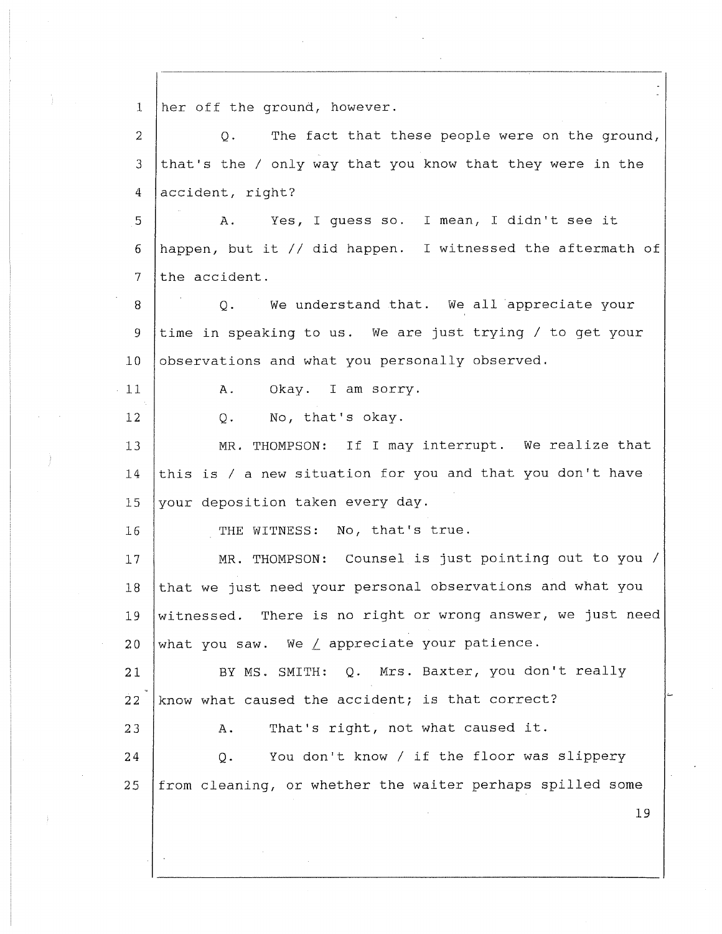1 2 3 4 5 6 7 8 9 10 11 12 13 14 15 16 17 18 19 20 21 22 23 24 25 her off the ground, however. Q. The fact that these people were on the ground, that's the/ only way that you know that they were in the accident, right? A. Yes, I guess so. I mean, I didn't see it happen, but it// did happen. I witnessed the aftermath of the accident. Q. We understand that. We all appreciate your time in speaking to us. We are just trying/ to get your observations and what you personally observed. A. Okay. I am sorry. Q. No, that's okay. MR, THOMPSON: If I may interrupt. We realize that this is/ a new situation for you and that you don't have your deposition taken every day. THE WITNESS: No, that's true. MR. THOMPSON: Counsel is just pointing out to you/ that we just need your personal observations and what you witnessed. There is no right or wrong answer, we just need what you saw. We / appreciate your patience. BY MS. SMITH: Q. Mrs. Baxter, you don't really know what caused the accident; is that correct? A. That's right, not what caused it. Q. You don't know *I* if the floor was slippery from cleaning, or whether the waiter perhaps spilled some 19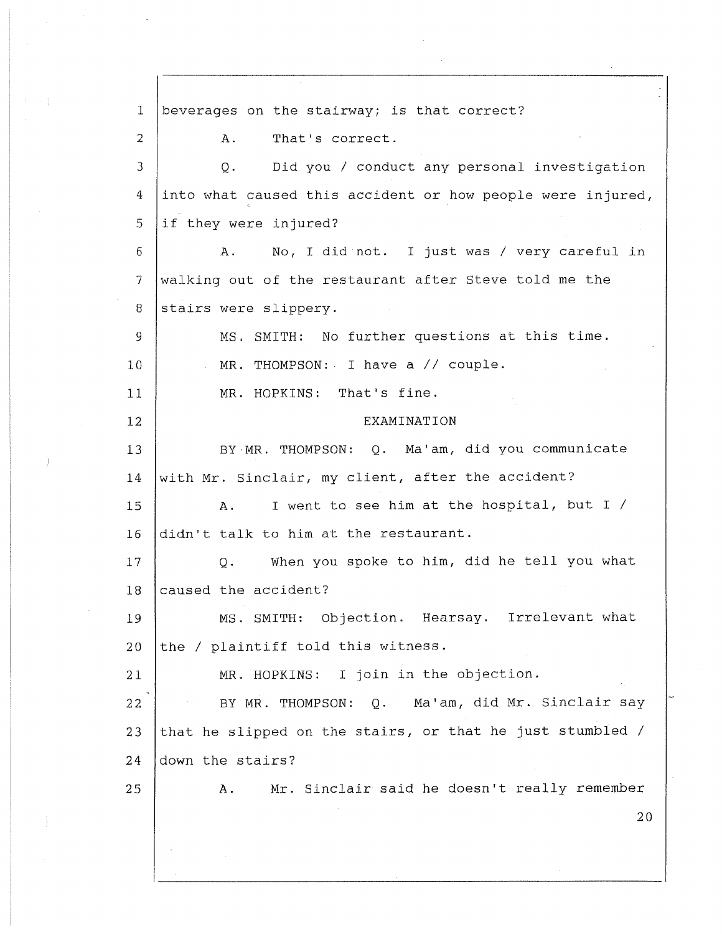1 2 3 4 5 6 7 8 9 10 11 12 13 14 15 16 17 18 19 20 21 22 23 24 25 beverages on the stairway; is that correct? A. That's correct. Q. Did you *I* conduct any personal investigation into what caused this accident or how people were injured, if they were injured? A. No, I did not. I just was/ very careful in walking out of the restaurant after Steve told me the stairs were slippery. MS. SMITH: No further questions at this time. MR. THOMPSON: I have a// couple. MR. HOPKINS: That's fine. EXAMINATION BY·MR. THOMPSON: Q. Ma'am, did you communicate with Mr. Sinclair, my client, after the accident? A. I went to see him at the hospital, but I/ didn't talk to him at the restaurant. Q. When you spoke to him, did he tell you what caused the accident? MS. SMITH: Objection. Hearsay. Irrelevant what the/ plaintiff told this witness. MR. HOPKINS: I join in the objection. BY MR. THOMPSON: Q. Ma'am, did Mr. Sinclair say that he slipped on the stairs, or that he just stumbled / down the stairs? A. Mr. Sinclair said he doesn't really remember 20